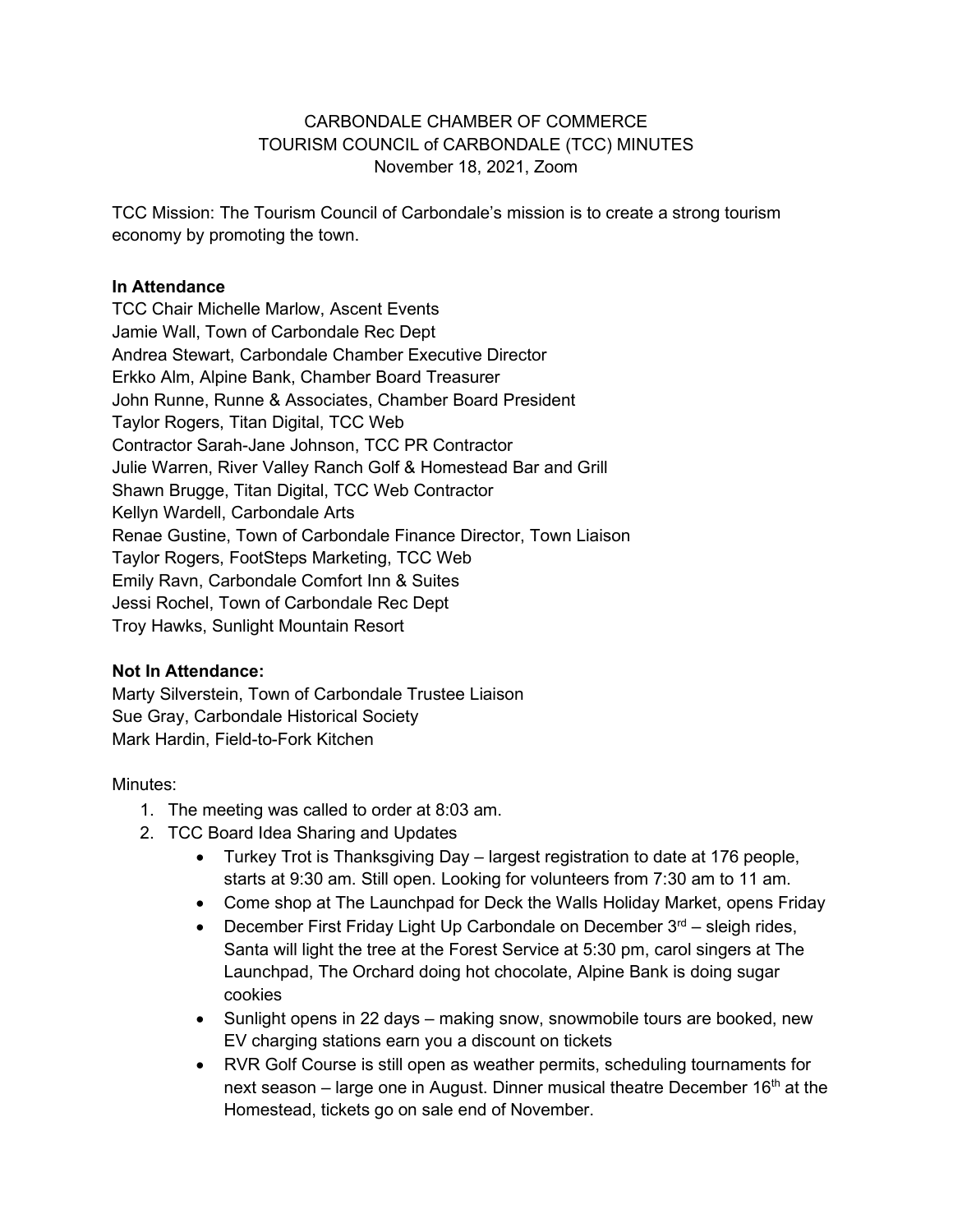#### CARBONDALE CHAMBER OF COMMERCE TOURISM COUNCIL of CARBONDALE (TCC) MINUTES November 18, 2021, Zoom

TCC Mission: The Tourism Council of Carbondale's mission is to create a strong tourism economy by promoting the town.

#### **In Attendance**

TCC Chair Michelle Marlow, Ascent Events Jamie Wall, Town of Carbondale Rec Dept Andrea Stewart, Carbondale Chamber Executive Director Erkko Alm, Alpine Bank, Chamber Board Treasurer John Runne, Runne & Associates, Chamber Board President Taylor Rogers, Titan Digital, TCC Web Contractor Sarah-Jane Johnson, TCC PR Contractor Julie Warren, River Valley Ranch Golf & Homestead Bar and Grill Shawn Brugge, Titan Digital, TCC Web Contractor Kellyn Wardell, Carbondale Arts Renae Gustine, Town of Carbondale Finance Director, Town Liaison Taylor Rogers, FootSteps Marketing, TCC Web Emily Ravn, Carbondale Comfort Inn & Suites Jessi Rochel, Town of Carbondale Rec Dept Troy Hawks, Sunlight Mountain Resort

#### **Not In Attendance:**

Marty Silverstein, Town of Carbondale Trustee Liaison Sue Gray, Carbondale Historical Society Mark Hardin, Field-to-Fork Kitchen

#### Minutes:

- 1. The meeting was called to order at 8:03 am.
- 2. TCC Board Idea Sharing and Updates
	- Turkey Trot is Thanksgiving Day largest registration to date at 176 people, starts at 9:30 am. Still open. Looking for volunteers from 7:30 am to 11 am.
	- Come shop at The Launchpad for Deck the Walls Holiday Market, opens Friday
	- December First Friday Light Up Carbondale on December  $3<sup>rd</sup>$  sleigh rides, Santa will light the tree at the Forest Service at 5:30 pm, carol singers at The Launchpad, The Orchard doing hot chocolate, Alpine Bank is doing sugar cookies
	- Sunlight opens in 22 days making snow, snowmobile tours are booked, new EV charging stations earn you a discount on tickets
	- RVR Golf Course is still open as weather permits, scheduling tournaments for next season – large one in August. Dinner musical theatre December 16<sup>th</sup> at the Homestead, tickets go on sale end of November.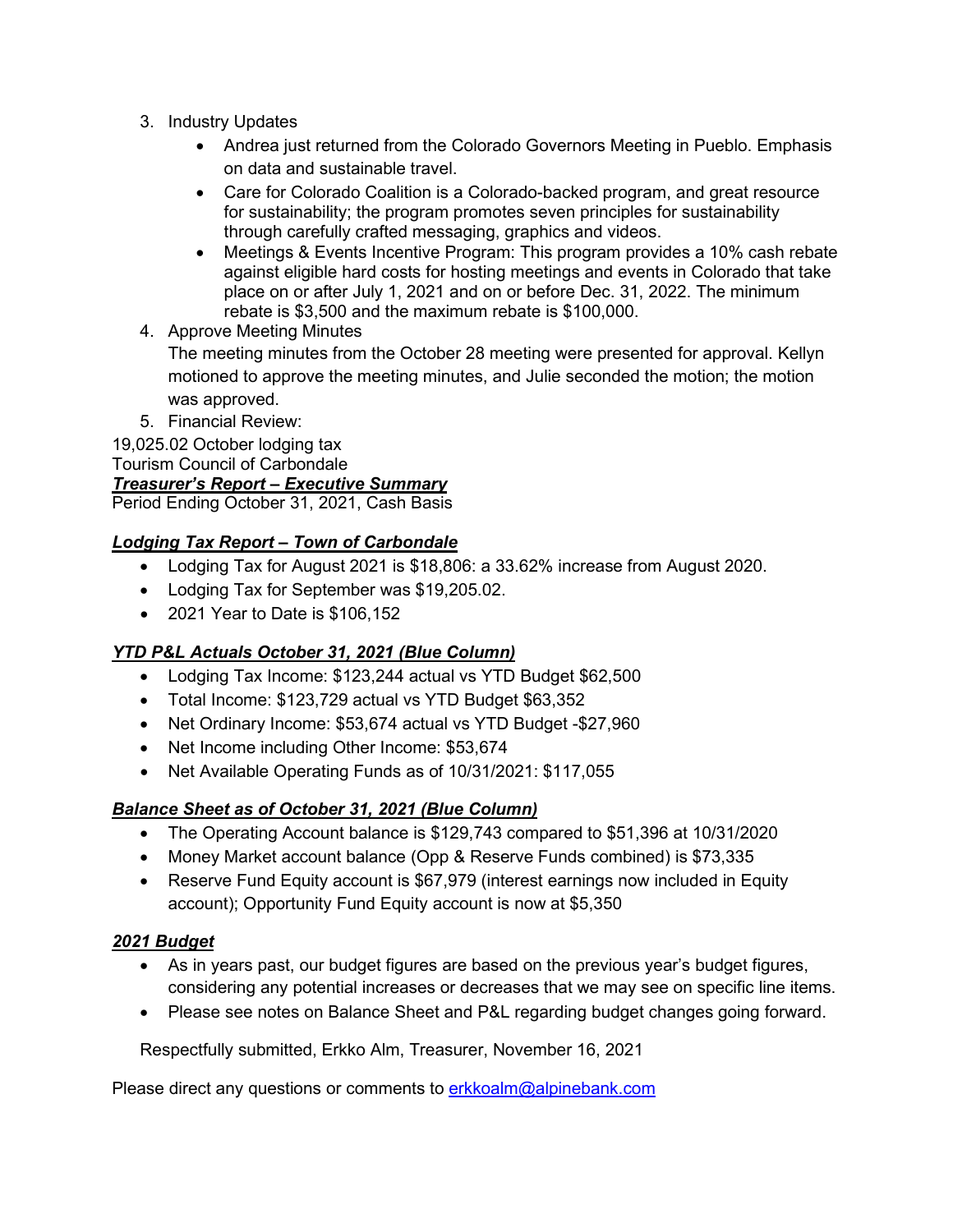- 3. Industry Updates
	- Andrea just returned from the Colorado Governors Meeting in Pueblo. Emphasis on data and sustainable travel.
	- Care for Colorado Coalition is a Colorado-backed program, and great resource for sustainability; the program promotes seven principles for sustainability through carefully crafted messaging, graphics and videos.
	- [Meetings & Events Incentive Program:](https://ch1dq04.na1.hubspotlinks.com/Btc/GD+113/cH1dQ04/VVN_7Y7S0JRsW6R502G2JNcbmW2qd3df4z-3J-N5q1hkm3q90pV1-WJV7CgNZ8V2FVCT8TJz_PW4DsQWr6767fjW4Zlfcp1VNts9W6Fl_PZ7t_-wVW4MQrtH1HLRL2W1l75YR3VZ7XgW2BnqXR8jrjb5F4wcwW0jNBhW56jTwG2vR0wdW57M73P4lmCTfV2NT1R7YyfxFW2-3GBD5-WDm-W5Vv2Md5F07zmW5T0kJQ41qyKkW5Hx1yc7mB9r_W6Z4SGk2TCMmZW3QNY5t7d4gygW5FP4QV3tq26ZVNg7mJ73GGPbVdPtJq8JqM6KW637BvQ8YNrXfW2Wd68y7xBQQKN18wJ85JV6_3W5wT7NV2QhZmQW3F5LlW6mJ3p6W3ctjFw9cdMrD35rv1) This program provides a 10% cash rebate against eligible hard costs for hosting meetings and events in Colorado that take place on or after July 1, 2021 and on or before Dec. 31, 2022. The minimum rebate is \$3,500 and the maximum rebate is \$100,000.
- 4. Approve Meeting Minutes

The meeting minutes from the October 28 meeting were presented for approval. Kellyn motioned to approve the meeting minutes, and Julie seconded the motion; the motion was approved.

5. Financial Review:

19,025.02 October lodging tax

Tourism Council of Carbondale *Treasurer's Report – Executive Summary*

Period Ending October 31, 2021, Cash Basis

# *Lodging Tax Report – Town of Carbondale*

- Lodging Tax for August 2021 is \$18,806: a 33.62% increase from August 2020.
- Lodging Tax for September was \$19,205.02.
- 2021 Year to Date is \$106,152

# *YTD P&L Actuals October 31, 2021 (Blue Column)*

- Lodging Tax Income: \$123,244 actual vs YTD Budget \$62,500
- Total Income: \$123,729 actual vs YTD Budget \$63,352
- Net Ordinary Income: \$53,674 actual vs YTD Budget -\$27,960
- Net Income including Other Income: \$53,674
- Net Available Operating Funds as of 10/31/2021: \$117,055

# *Balance Sheet as of October 31, 2021 (Blue Column)*

- The Operating Account balance is \$129,743 compared to \$51,396 at 10/31/2020
- Money Market account balance (Opp & Reserve Funds combined) is \$73,335
- Reserve Fund Equity account is \$67,979 (interest earnings now included in Equity account); Opportunity Fund Equity account is now at \$5,350

# *2021 Budget*

- As in years past, our budget figures are based on the previous year's budget figures, considering any potential increases or decreases that we may see on specific line items.
- Please see notes on Balance Sheet and P&L regarding budget changes going forward.

Respectfully submitted, Erkko Alm, Treasurer, November 16, 2021

Please direct any questions or comments to erkkoalm@alpinebank.com